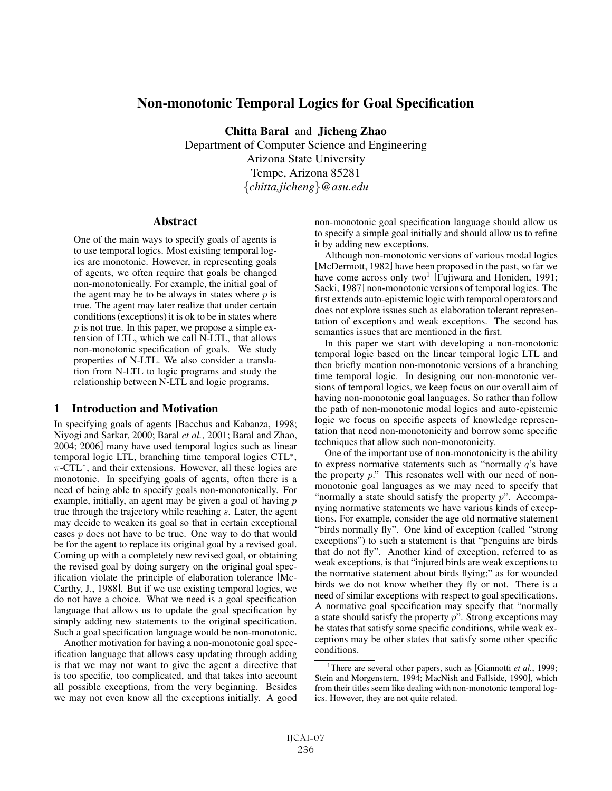# Non-monotonic Temporal Logics for Goal Specification

Chitta Baral and Jicheng Zhao

Department of Computer Science and Engineering Arizona State University Tempe, Arizona 85281 {*chitta,jicheng*}*@asu.edu*

### **Abstract**

One of the main ways to specify goals of agents is to use temporal logics. Most existing temporal logics are monotonic. However, in representing goals of agents, we often require that goals be changed non-monotonically. For example, the initial goal of the agent may be to be always in states where  $p$  is true. The agent may later realize that under certain conditions (exceptions) it is ok to be in states where  $p$  is not true. In this paper, we propose a simple extension of LTL, which we call N-LTL, that allows non-monotonic specification of goals. We study properties of N-LTL. We also consider a translation from N-LTL to logic programs and study the relationship between N-LTL and logic programs.

## 1 Introduction and Motivation

In specifying goals of agents [Bacchus and Kabanza, 1998; Niyogi and Sarkar, 2000; Baral *et al.*, 2001; Baral and Zhao, 2004; 2006] many have used temporal logics such as linear temporal logic LTL, branching time temporal logics CTL<sup>∗</sup>,  $\pi$ -CTL<sup>\*</sup>, and their extensions. However, all these logics are monotonic. In specifying goals of agents, often there is a need of being able to specify goals non-monotonically. For example, initially, an agent may be given a goal of having  $p$ true through the trajectory while reaching s. Later, the agent may decide to weaken its goal so that in certain exceptional cases p does not have to be true. One way to do that would be for the agent to replace its original goal by a revised goal. Coming up with a completely new revised goal, or obtaining the revised goal by doing surgery on the original goal specification violate the principle of elaboration tolerance [Mc-Carthy, J., 1988]. But if we use existing temporal logics, we do not have a choice. What we need is a goal specification language that allows us to update the goal specification by simply adding new statements to the original specification. Such a goal specification language would be non-monotonic.

Another motivation for having a non-monotonic goal specification language that allows easy updating through adding is that we may not want to give the agent a directive that is too specific, too complicated, and that takes into account all possible exceptions, from the very beginning. Besides we may not even know all the exceptions initially. A good non-monotonic goal specification language should allow us to specify a simple goal initially and should allow us to refine it by adding new exceptions.

Although non-monotonic versions of various modal logics [McDermott, 1982] have been proposed in the past, so far we have come across only two<sup>1</sup> [Fujiwara and Honiden, 1991; Saeki, 1987] non-monotonic versions of temporal logics. The first extends auto-epistemic logic with temporal operators and does not explore issues such as elaboration tolerant representation of exceptions and weak exceptions. The second has semantics issues that are mentioned in the first.

In this paper we start with developing a non-monotonic temporal logic based on the linear temporal logic LTL and then briefly mention non-monotonic versions of a branching time temporal logic. In designing our non-monotonic versions of temporal logics, we keep focus on our overall aim of having non-monotonic goal languages. So rather than follow the path of non-monotonic modal logics and auto-epistemic logic we focus on specific aspects of knowledge representation that need non-monotonicity and borrow some specific techniques that allow such non-monotonicity.

One of the important use of non-monotonicity is the ability to express normative statements such as "normally  $q$ 's have the property  $p$ ." This resonates well with our need of nonmonotonic goal languages as we may need to specify that "normally a state should satisfy the property  $p$ ". Accompanying normative statements we have various kinds of exceptions. For example, consider the age old normative statement "birds normally fly". One kind of exception (called "strong exceptions") to such a statement is that "penguins are birds that do not fly". Another kind of exception, referred to as weak exceptions, is that "injured birds are weak exceptions to the normative statement about birds flying;" as for wounded birds we do not know whether they fly or not. There is a need of similar exceptions with respect to goal specifications. A normative goal specification may specify that "normally a state should satisfy the property  $p$ ". Strong exceptions may be states that satisfy some specific conditions, while weak exceptions may be other states that satisfy some other specific conditions.

<sup>&</sup>lt;sup>1</sup>There are several other papers, such as [Giannotti et al., 1999; Stein and Morgenstern, 1994; MacNish and Fallside, 1990], which from their titles seem like dealing with non-monotonic temporal logics. However, they are not quite related.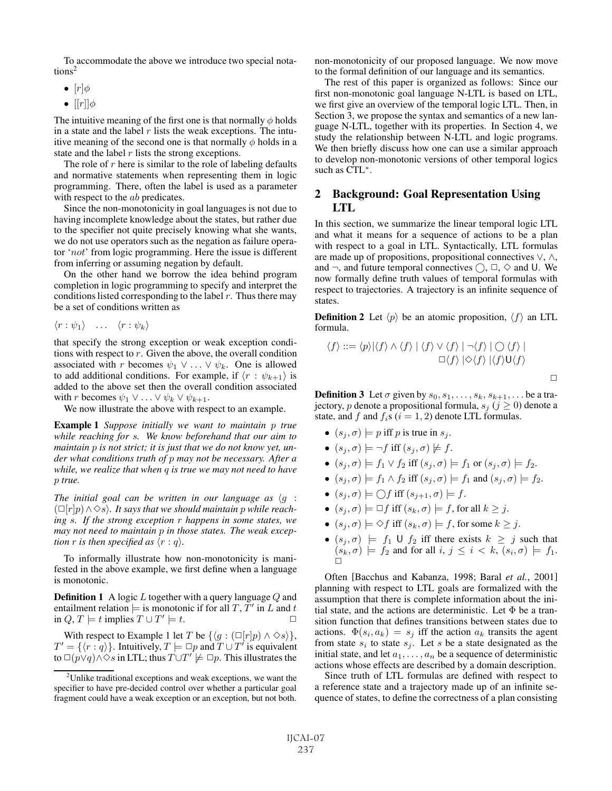To accommodate the above we introduce two special notations<sup>2</sup>

- $[r]\phi$
- $[|r|]$  $\phi$

The intuitive meaning of the first one is that normally  $\phi$  holds in a state and the label  $r$  lists the weak exceptions. The intuitive meaning of the second one is that normally  $\phi$  holds in a state and the label  $r$  lists the strong exceptions.

The role of  $r$  here is similar to the role of labeling defaults and normative statements when representing them in logic programming. There, often the label is used as a parameter with respect to the *ab* predicates.

Since the non-monotonicity in goal languages is not due to having incomplete knowledge about the states, but rather due to the specifier not quite precisely knowing what she wants, we do not use operators such as the negation as failure operator 'not' from logic programming. Here the issue is different from inferring or assuming negation by default.

On the other hand we borrow the idea behind program completion in logic programming to specify and interpret the conditions listed corresponding to the label  $r$ . Thus there may be a set of conditions written as

 $\langle r : \psi_1 \rangle \quad \dots \quad \langle r : \psi_k \rangle$ 

that specify the strong exception or weak exception conditions with respect to  $r$ . Given the above, the overall condition associated with r becomes  $\psi_1 \lor ... \lor \psi_k$ . One is allowed to add additional conditions. For example, if  $\langle r : \psi_{k+1} \rangle$  is added to the above set then the overall condition associated with r becomes  $\psi_1 \vee \ldots \vee \psi_k \vee \psi_{k+1}$ .

We now illustrate the above with respect to an example.

Example 1 *Suppose initially we want to maintain* p *true while reaching for* s*. We know beforehand that our aim to maintain* p *is not strict; it is just that we do not know yet, under what conditions truth of* p *may not be necessary. After a while, we realize that when* q *is true we may not need to have* p *true.*

The initial goal can be written in our language as  $\langle g \rangle$ :  $(\Box [r]p) \land \Diamond s$ . It says that we should maintain p while reach*ing* s*. If the strong exception* r *happens in some states, we may not need to maintain* p *in those states. The weak exception r is then specified as*  $\langle r : q \rangle$ .

To informally illustrate how non-monotonicity is manifested in the above example, we first define when a language is monotonic.

**Definition 1** A logic  $L$  together with a query language  $Q$  and entailment relation  $\models$  is monotonic if for all T, T' in L and t in  $Q, T \models t$  implies  $T \cup T' \models t$ .  $□$ 

With respect to Example 1 let T be  $\{\langle g : (\Box[r]p) \land \Diamond s \rangle\},\$  $T' = \{\langle r : q \rangle\}.$  Intuitively,  $T \models \Box p$  and  $T \cup T'$  is equivalent to  $\Box(p\lor q) \land \Diamond s$  in LTL; thus  $T \cup T' \not\models \Box p$ . This illustrates the non-monotonicity of our proposed language. We now move to the formal definition of our language and its semantics.

The rest of this paper is organized as follows: Since our first non-monotonic goal language N-LTL is based on LTL, we first give an overview of the temporal logic LTL. Then, in Section 3, we propose the syntax and semantics of a new language N-LTL, together with its properties. In Section 4, we study the relationship between N-LTL and logic programs. We then briefly discuss how one can use a similar approach to develop non-monotonic versions of other temporal logics such as CTL<sup>∗</sup>.

## 2 Background: Goal Representation Using LTL

In this section, we summarize the linear temporal logic LTL and what it means for a sequence of actions to be a plan with respect to a goal in LTL. Syntactically, LTL formulas are made up of propositions, propositional connectives ∨, ∧, and  $\neg$ , and future temporal connectives  $\bigcap$ ,  $\Box$ ,  $\diamond$  and U. We now formally define truth values of temporal formulas with respect to trajectories. A trajectory is an infinite sequence of states.

**Definition 2** Let  $\langle p \rangle$  be an atomic proposition,  $\langle f \rangle$  an LTL formula.

$$
\langle f \rangle ::= \langle p \rangle |\langle f \rangle \wedge \langle f \rangle | \langle f \rangle \vee \langle f \rangle | \neg \langle f \rangle | \bigcirc \langle f \rangle |
$$
  

$$
\Box \langle f \rangle | \Diamond \langle f \rangle | \langle f \rangle \mathsf{U} \langle f \rangle
$$

**Definition 3** Let  $\sigma$  given by  $s_0, s_1, \ldots, s_k, s_{k+1}, \ldots$  be a trajectory, p denote a propositional formula,  $s_i$  ( $j \ge 0$ ) denote a state, and f and  $f_i$ s ( $i = 1, 2$ ) denote LTL formulas.

- $(s_i, \sigma) \models p$  iff p is true in  $s_i$ .
- $(s_j, \sigma) \models \neg f$  iff  $(s_j, \sigma) \not\models f$ .
- $(s_i, \sigma) \models f_1 \vee f_2$  iff  $(s_i, \sigma) \models f_1$  or  $(s_i, \sigma) \models f_2$ .
- $(s_i, \sigma) \models f_1 \land f_2$  iff  $(s_i, \sigma) \models f_1$  and  $(s_i, \sigma) \models f_2$ .
- $(s_j, \sigma) \models \bigcirc f$  iff  $(s_{j+1}, \sigma) \models f$ .
- $(s_i, \sigma) \models \Box f$  iff  $(s_k, \sigma) \models f$ , for all  $k \geq j$ .
- $(s_i, \sigma) \models \Diamond f$  iff  $(s_k, \sigma) \models f$ , for some  $k \geq j$ .
- $(s_j, \sigma)$   $\models$   $f_1 \cup f_2$  iff there exists  $k \geq j$  such that  $(s_k, \sigma) \models f_2$  and for all  $i, j \leq i < k$ ,  $(s_i, \sigma) \models f_1$ .

Often [Bacchus and Kabanza, 1998; Baral *et al.*, 2001] planning with respect to LTL goals are formalized with the assumption that there is complete information about the initial state, and the actions are deterministic. Let  $\Phi$  be a transition function that defines transitions between states due to actions.  $\Phi(s_i, a_k) = s_j$  iff the action  $a_k$  transits the agent from state  $s_i$  to state  $s_j$ . Let s be a state designated as the initial state, and let  $a_1, \ldots, a_n$  be a sequence of deterministic actions whose effects are described by a domain description.

Since truth of LTL formulas are defined with respect to a reference state and a trajectory made up of an infinite sequence of states, to define the correctness of a plan consisting

 $2$ Unlike traditional exceptions and weak exceptions, we want the specifier to have pre-decided control over whether a particular goal fragment could have a weak exception or an exception, but not both.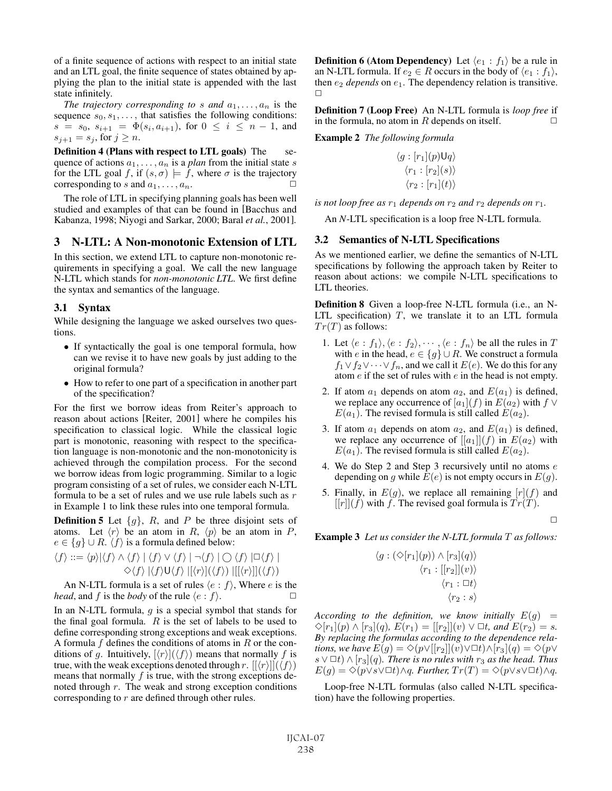of a finite sequence of actions with respect to an initial state and an LTL goal, the finite sequence of states obtained by applying the plan to the initial state is appended with the last state infinitely.

*The trajectory corresponding to s and*  $a_1, \ldots, a_n$  is the sequence  $s_0, s_1, \ldots$ , that satisfies the following conditions:  $s = s_0, s_{i+1} = \Phi(s_i, a_{i+1}),$  for  $0 \le i \le n-1$ , and  $s_{i+1} = s_i$ , for  $j \geq n$ .

Definition 4 (Plans with respect to LTL goals) The sequence of actions  $a_1, \ldots, a_n$  is a *plan* from the initial state s for the LTL goal f, if  $(s, \sigma) \models f$ , where  $\sigma$  is the trajectory corresponding to s and  $a_1, \ldots, a_n$ .

The role of LTL in specifying planning goals has been well studied and examples of that can be found in [Bacchus and Kabanza, 1998; Niyogi and Sarkar, 2000; Baral *et al.*, 2001].

## 3 N-LTL: A Non-monotonic Extension of LTL

In this section, we extend LTL to capture non-monotonic requirements in specifying a goal. We call the new language N-LTL which stands for *non-monotonic LTL*. We first define the syntax and semantics of the language.

### 3.1 Syntax

While designing the language we asked ourselves two questions.

- If syntactically the goal is one temporal formula, how can we revise it to have new goals by just adding to the original formula?
- How to refer to one part of a specification in another part of the specification?

For the first we borrow ideas from Reiter's approach to reason about actions [Reiter, 2001] where he compiles his specification to classical logic. While the classical logic part is monotonic, reasoning with respect to the specification language is non-monotonic and the non-monotonicity is achieved through the compilation process. For the second we borrow ideas from logic programming. Similar to a logic program consisting of a set of rules, we consider each N-LTL formula to be a set of rules and we use rule labels such as r in Example 1 to link these rules into one temporal formula.

**Definition 5** Let  $\{g\}$ , R, and P be three disjoint sets of atoms. Let  $\langle r \rangle$  be an atom in R,  $\langle p \rangle$  be an atom in P,  $e \in \{g\} \cup R$ .  $\langle f \rangle$  is a formula defined below:

$$
\langle f \rangle ::= \langle p \rangle |\langle f \rangle \wedge \langle f \rangle | \langle f \rangle \vee \langle f \rangle | \neg \langle f \rangle | \bigcirc \langle f \rangle | \Box \langle f \rangle |
$$
  

$$
\Diamond \langle f \rangle | \langle f \rangle \mathsf{U} \langle f \rangle | \langle f \rangle | \langle \langle f \rangle | | \langle \langle f \rangle | \langle \langle f \rangle |
$$

An N-LTL formula is a set of rules  $\langle e : f \rangle$ , Where e is the *head*, and f is the *body* of the rule  $\langle e : f \rangle$ .

In an N-LTL formula,  $g$  is a special symbol that stands for the final goal formula.  $R$  is the set of labels to be used to define corresponding strong exceptions and weak exceptions. A formula  $f$  defines the conditions of atoms in  $R$  or the conditions of g. Intuitively,  $[\langle r \rangle](\langle f \rangle)$  means that normally f is true, with the weak exceptions denoted through r.  $[[\langle r \rangle]](\langle f \rangle)$ means that normally  $f$  is true, with the strong exceptions denoted through  $r$ . The weak and strong exception conditions corresponding to r are defined through other rules.

**Definition 6 (Atom Dependency)** Let  $\langle e_1 : f_1 \rangle$  be a rule in an N-LTL formula. If  $e_2 \in R$  occurs in the body of  $\langle e_1 : f_1 \rangle$ , then  $e_2$  *depends* on  $e_1$ . The dependency relation is transitive.  $\Box$ 

Definition 7 (Loop Free) An N-LTL formula is *loop free* if in the formula, no atom in R depends on itself.  $\Box$ 

Example 2 *The following formula*

$$
\langle g : [r_1](p) \mathsf{U} q \rangle
$$

$$
\langle r_1 : [r_2](s) \rangle
$$

$$
\langle r_2 : [r_1](t) \rangle
$$

*is not loop free as*  $r_1$  *depends on*  $r_2$  *and*  $r_2$  *depends on*  $r_1$ *.* 

An *N*-LTL specification is a loop free N-LTL formula.

### 3.2 Semantics of N-LTL Specifications

As we mentioned earlier, we define the semantics of N-LTL specifications by following the approach taken by Reiter to reason about actions: we compile N-LTL specifications to LTL theories.

Definition 8 Given a loop-free N-LTL formula (i.e., an N-LTL specification)  $T$ , we translate it to an LTL formula  $Tr(T)$  as follows:

- 1. Let  $\langle e : f_1 \rangle, \langle e : f_2 \rangle, \dots, \langle e : f_n \rangle$  be all the rules in T with e in the head,  $e \in \{g\} \cup R$ . We construct a formula  $f_1 \vee f_2 \vee \cdots \vee f_n$ , and we call it  $E(e)$ . We do this for any atom e if the set of rules with e in the head is not empty.
- 2. If atom  $a_1$  depends on atom  $a_2$ , and  $E(a_1)$  is defined, we replace any occurrence of  $[a_1](f)$  in  $E(a_2)$  with  $f \vee$  $E(a_1)$ . The revised formula is still called  $E(a_2)$ .
- 3. If atom  $a_1$  depends on atom  $a_2$ , and  $E(a_1)$  is defined, we replace any occurrence of  $[[a_1]](f)$  in  $E(a_2)$  with  $E(a_1)$ . The revised formula is still called  $E(a_2)$ .
- 4. We do Step 2 and Step 3 recursively until no atoms  $e$ depending on g while  $E(e)$  is not empty occurs in  $E(g)$ .
- 5. Finally, in  $E(g)$ , we replace all remaining  $[r](f)$  and  $[|r|](f)$  with f. The revised goal formula is  $Tr(T)$ .

 $\Box$ 

Example 3 *Let us consider the N-LTL formula* T *as follows:*

$$
\langle g : (\Diamond [r_1](p)) \land [r_3](q) \rangle
$$
  

$$
\langle r_1 : [[r_2]](v) \rangle
$$
  

$$
\langle r_1 : \Box t \rangle
$$
  

$$
\langle r_2 : s \rangle
$$

*According to the definition, we know initially*  $E(g)$  =  $\Diamond [r_1](p) \land [r_3](q)$ ,  $E(r_1) = [[r_2]](v) \lor \Box t$ , and  $E(r_2) = s$ . *By replacing the formulas according to the dependence relations, we have*  $E(g) = \Diamond (p \lor [[r_2]](v) \lor \Box t) \land [r_3](q) = \Diamond (p \lor \Box t) \land [r_4](q)$ s  $\lor$  □t)  $\land$   $[r_3](q)$ *. There is no rules with*  $r_3$  *as the head. Thus*  $E(g) = \Diamond (p \lor s \lor \Box t) \land q$ *. Further,*  $Tr(T) = \Diamond (p \lor s \lor \Box t) \land q$ *.* 

Loop-free N-LTL formulas (also called N-LTL specification) have the following properties.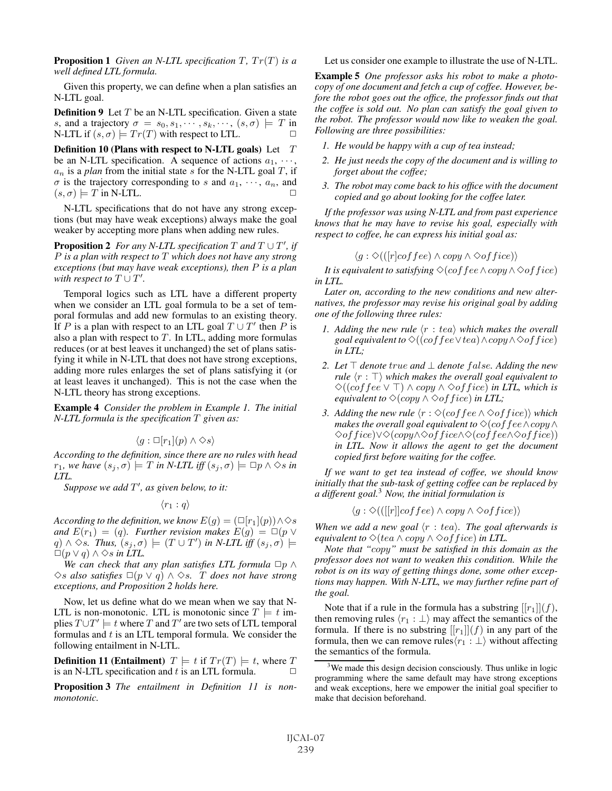**Proposition 1** Given an N-LTL specification  $T$ ,  $Tr(T)$  is a *well defined LTL formula.*

Given this property, we can define when a plan satisfies an N-LTL goal.

**Definition 9** Let  $T$  be an N-LTL specification. Given a state s, and a trajectory  $\sigma = s_0, s_1, \cdots, s_k, \cdots, (s, \sigma) \models T$  in N-LTL if  $(s, \sigma) \models Tr(T)$  with respect to LTL.

Definition 10 (Plans with respect to N-LTL goals) Let  $T$ be an N-LTL specification. A sequence of actions  $a_1, \dots,$  $a_n$  is a *plan* from the initial state s for the N-LTL goal T, if  $\sigma$  is the trajectory corresponding to s and  $a_1, \dots, a_n$ , and  $(s, \sigma) \models T$  in N-LTL.

N-LTL specifications that do not have any strong exceptions (but may have weak exceptions) always make the goal weaker by accepting more plans when adding new rules.

**Proposition 2** For any N-LTL specification  $T$  and  $T \cup T'$ , if P *is a plan with respect to* T *which does not have any strong exceptions (but may have weak exceptions), then* P *is a plan* with respect to  $T \cup T'$ .

Temporal logics such as LTL have a different property when we consider an LTL goal formula to be a set of temporal formulas and add new formulas to an existing theory. If P is a plan with respect to an LTL goal  $T \cup T'$  then P is also a plan with respect to  $T$ . In LTL, adding more formulas reduces (or at best leaves it unchanged) the set of plans satisfying it while in N-LTL that does not have strong exceptions, adding more rules enlarges the set of plans satisfying it (or at least leaves it unchanged). This is not the case when the N-LTL theory has strong exceptions.

Example 4 *Consider the problem in Example 1. The initial N-LTL formula is the specification* T *given as:*

$$
\langle g : \Box[r_1](p) \land \Diamond s \rangle
$$

*According to the definition, since there are no rules with head*  $r_1$ *, we have*  $(s_j, \sigma) \models T$  *in N-LTL iff*  $(s_j, \sigma) \models \Box p \land \Diamond s$  *in LTL.*

Suppose we add T', as given below, to it:

 $\langle r_1 : q \rangle$ 

*According to the definition, we know*  $E(g)=(\Box[r_1](p))\land\diamondsuit s$ *and*  $E(r_1) = (q)$ *. Further revision makes*  $E(g) = \Box(p \vee p)$  $(q) \wedge \Diamond s$ *. Thus,*  $(s_j, \sigma) \models (T \cup T')$  in N-LTL iff  $(s_j, \sigma) \models$  $□(p ∨ q) ∧ ∞s$  *in LTL*.

*We can check that any plan satisfies LTL formula*  $\Box p \land p$ ✸s *also satisfies* ✷(p ∨ q) ∧ ✸s*.* T *does not have strong exceptions, and Proposition 2 holds here.*

Now, let us define what do we mean when we say that N-LTL is non-monotonic. LTL is monotonic since  $T \models t$  implies  $T \cup T' \models t$  where T and T' are two sets of LTL temporal formulas and  $t$  is an LTL temporal formula. We consider the following entailment in N-LTL.

**Definition 11 (Entailment)**  $T \models t$  if  $Tr(T) \models t$ , where T is an N-LTL specification and t is an LTL formula.  $\Box$ 

Proposition 3 *The entailment in Definition 11 is nonmonotonic.*

Let us consider one example to illustrate the use of N-LTL.

Example 5 *One professor asks his robot to make a photocopy of one document and fetch a cup of coffee. However, before the robot goes out the office, the professor finds out that the coffee is sold out. No plan can satisfy the goal given to the robot. The professor would now like to weaken the goal. Following are three possibilities:*

- *1. He would be happy with a cup of tea instead;*
- *2. He just needs the copy of the document and is willing to forget about the coffee;*
- *3. The robot may come back to his office with the document copied and go about looking for the coffee later.*

*If the professor was using N-LTL and from past experience knows that he may have to revise his goal, especially with respect to coffee, he can express his initial goal as:*

$$
\langle g : \Diamond (([r]coffee) \land copy \land \Diamond of\,) \rangle
$$

*It is equivalent to satisfying*  $\Diamond$ (*coffee*  $\land$  *copy*  $\land$   $\Diamond$ *office*) *in LTL.*

*Later on, according to the new conditions and new alternatives, the professor may revise his original goal by adding one of the following three rules:*

- *1. Adding the new rule*  $\langle r : tea \rangle$  which makes the overall *goal equivalent to*  $\Diamond ((\text{cof} \text{fee} \lor \text{tea}) \land \text{copy} \land \Diamond \text{of} \text{f} \text{ice})$ *in LTL;*
- *2. Let denote* true *and* ⊥ *denote* f alse*. Adding the new rule*  $\langle r : \top \rangle$  which makes the overall goal equivalent to ✸((coffee ∨ ) ∧ copy ∧ ✸off ice) *in LTL, which is equivalent to*  $\Diamond$ (*copy*  $\land$   $\Diamond$ *of fice*) *in LTL*;
- 3. Adding the new rule  $\langle r : \Diamond (coffee \wedge \Diamond office) \rangle$  which *makes the overall goal equivalent to*  $\Diamond$ (*coffee*  $\land$ *copy*  $\land$ ✸off ice)∨✸(copy∧✸off ice∧✸(coffee∧✸off ice)) *in LTL. Now it allows the agent to get the document copied first before waiting for the coffee.*

*If we want to get tea instead of coffee, we should know initially that the sub-task of getting coffee can be replaced by a different goal.*<sup>3</sup> *Now, the initial formulation is*

$$
\langle g : \Diamond (([[r]]coffee) \land copy \land \Diamond office) \rangle
$$

When we add a new goal  $\langle r : tea \rangle$ . The goal afterwards is *equivalent to*  $\Diamond$ (*tea*  $\land$  *copy*  $\land$   $\Diamond$ *of fice*) *in LTL.* 

*Note that "*copy*" must be satisfied in this domain as the professor does not want to weaken this condition. While the robot is on its way of getting things done, some other exceptions may happen. With N-LTL, we may further refine part of the goal.*

Note that if a rule in the formula has a substring  $[[r_1]](f)$ , then removing rules  $\langle r_1 : \perp \rangle$  may affect the semantics of the formula. If there is no substring  $[[r_1]](f)$  in any part of the formula, then we can remove rules $\langle r_1 : \bot \rangle$  without affecting the semantics of the formula.

<sup>&</sup>lt;sup>3</sup>We made this design decision consciously. Thus unlike in logic programming where the same default may have strong exceptions and weak exceptions, here we empower the initial goal specifier to make that decision beforehand.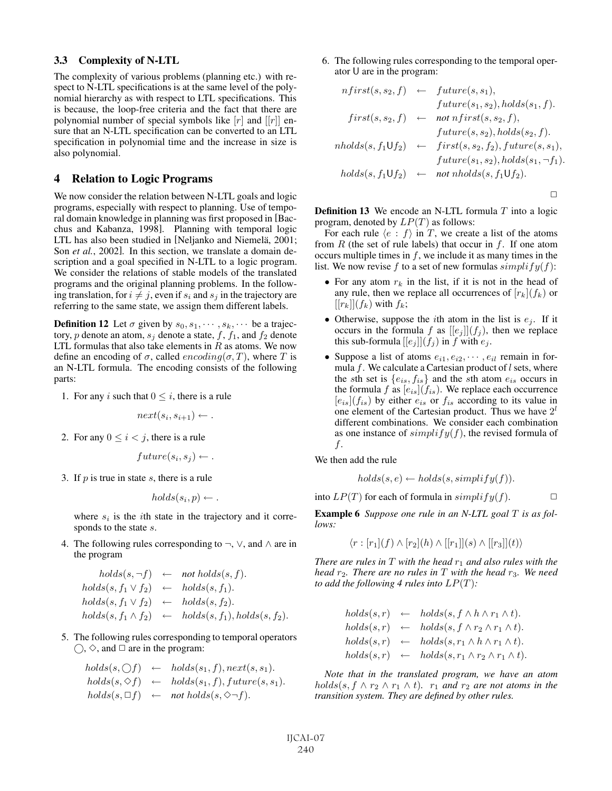#### 3.3 Complexity of N-LTL

The complexity of various problems (planning etc.) with respect to N-LTL specifications is at the same level of the polynomial hierarchy as with respect to LTL specifications. This is because, the loop-free criteria and the fact that there are polynomial number of special symbols like  $[r]$  and  $[[r]]$  ensure that an N-LTL specification can be converted to an LTL specification in polynomial time and the increase in size is also polynomial.

## 4 Relation to Logic Programs

We now consider the relation between N-LTL goals and logic programs, especially with respect to planning. Use of temporal domain knowledge in planning was first proposed in [Bacchus and Kabanza, 1998]. Planning with temporal logic LTL has also been studied in [Neljanko and Niemelä, 2001; Son *et al.*, 2002]. In this section, we translate a domain description and a goal specified in N-LTL to a logic program. We consider the relations of stable models of the translated programs and the original planning problems. In the following translation, for  $i \neq j$ , even if  $s_i$  and  $s_j$  in the trajectory are referring to the same state, we assign them different labels.

**Definition 12** Let  $\sigma$  given by  $s_0, s_1, \dots, s_k, \dots$  be a trajectory, p denote an atom,  $s_i$  denote a state, f,  $f_1$ , and  $f_2$  denote LTL formulas that also take elements in  $R$  as atoms. We now define an encoding of  $\sigma$ , called  $encoding(\sigma, T)$ , where T is an N-LTL formula. The encoding consists of the following parts:

1. For any i such that  $0 \leq i$ , there is a rule

$$
next(s_i, s_{i+1}) \leftarrow .
$$

2. For any  $0 \leq i < j$ , there is a rule

$$
future(s_i, s_j) \leftarrow .
$$

3. If  $p$  is true in state  $s$ , there is a rule

$$
holds(s_i, p) \leftarrow .
$$

where  $s_i$  is the *i*th state in the trajectory and it corresponds to the state s.

4. The following rules corresponding to  $\neg$ ,  $\vee$ , and  $\wedge$  are in the program

$$
holds(s, \neg f) \leftarrow not holds(s, f).
$$
  
\n
$$
holds(s, f_1 \vee f_2) \leftarrow holds(s, f_1).
$$
  
\n
$$
holds(s, f_1 \vee f_2) \leftarrow holds(s, f_2).
$$
  
\n
$$
holds(s, f_1 \wedge f_2) \leftarrow holds(s, f_1), holds(s, f_2).
$$

5. The following rules corresponding to temporal operators  $\bigcirc$ ,  $\Diamond$ , and  $\Box$  are in the program:

$$
holds(s, \bigcirc f) \leftarrow holds(s_1, f), next(s, s_1).
$$
  
\n
$$
holds(s, \bigcirc f) \leftarrow holds(s_1, f), future(s, s_1).
$$
  
\n
$$
holds(s, \bigcirc f) \leftarrow not holds(s, \bigcirc \neg f).
$$

6. The following rules corresponding to the temporal operator U are in the program:

$$
nfirst(s, s_2, f) \leftarrow future(s, s_1),
$$
  
\n
$$
future(s_1, s_2), holds(s_1, f).
$$
  
\n
$$
first(s, s_2, f) \leftarrow not nfirst(s, s_2, f),
$$
  
\n
$$
future(s, s_2), holds(s_2, f).
$$
  
\n
$$
nholds(s, f_1 \cup f_2) \leftarrow first(s, s_2, f_2), future(s, s_1),
$$
  
\n
$$
future(s_1, s_2), holds(s_1, \neg f_1).
$$
  
\n
$$
holds(s, f_1 \cup f_2) \leftarrow not nholds(s, f_1 \cup f_2).
$$

 $\Box$ 

**Definition 13** We encode an N-LTL formula  $T$  into a logic program, denoted by  $LP(T)$  as follows:

For each rule  $\langle e : f \rangle$  in T, we create a list of the atoms from  $R$  (the set of rule labels) that occur in  $f$ . If one atom occurs multiple times in f, we include it as many times in the list. We now revise f to a set of new formulas  $simplify(f)$ :

- For any atom  $r_k$  in the list, if it is not in the head of any rule, then we replace all occurrences of  $[r_k](f_k)$  or  $[[r_k]](f_k)$  with  $f_k$ ;
- Otherwise, suppose the *i*th atom in the list is  $e_i$ . If it occurs in the formula f as  $[[e_j]](f_j)$ , then we replace this sub-formula  $[[e_j]](f_j)$  in f with  $e_j$ .
- Suppose a list of atoms  $e_{i1}, e_{i2}, \cdots, e_{il}$  remain in formula  $f$ . We calculate a Cartesian product of  $l$  sets, where the sth set is  ${e_{is}, f_{is}}$  and the sth atom  $e_{is}$  occurs in the formula f as  $[e_{is}](f_{is})$ . We replace each occurrence  $[e_{is}](f_{is})$  by either  $e_{is}$  or  $f_{is}$  according to its value in one element of the Cartesian product. Thus we have  $2^l$ different combinations. We consider each combination as one instance of  $simplify(f)$ , the revised formula of f.

We then add the rule

$$
holds(s, e) \leftarrow holds(s, simplify(f)).
$$

into  $LP(T)$  for each of formula in  $simplify(f)$ .

Example 6 *Suppose one rule in an N-LTL goal* T *is as follows:*

$$
\langle r : [r_1](f) \wedge [r_2](h) \wedge [[r_1]](s) \wedge [[r_3]](t) \rangle
$$

*There are rules in*  $T$  *with the head*  $r_1$  *and also rules with the head*  $r_2$ *. There are no rules in* T *with the head*  $r_3$ *. We need to add the following 4 rules into*  $LP(T)$ *:* 

$$
holds(s,r) \leftarrow holds(s, f \wedge h \wedge r_1 \wedge t).
$$
  
\n
$$
holds(s,r) \leftarrow holds(s, f \wedge r_2 \wedge r_1 \wedge t).
$$
  
\n
$$
holds(s,r) \leftarrow holds(s, r_1 \wedge h \wedge r_1 \wedge t).
$$
  
\n
$$
holds(s,r) \leftarrow holds(s, r_1 \wedge r_2 \wedge r_1 \wedge t).
$$

*Note that in the translated program, we have an atom*  $holds(s, f \wedge r_2 \wedge r_1 \wedge t)$ *.*  $r_1$  *and*  $r_2$  *are not atoms in the transition system. They are defined by other rules.*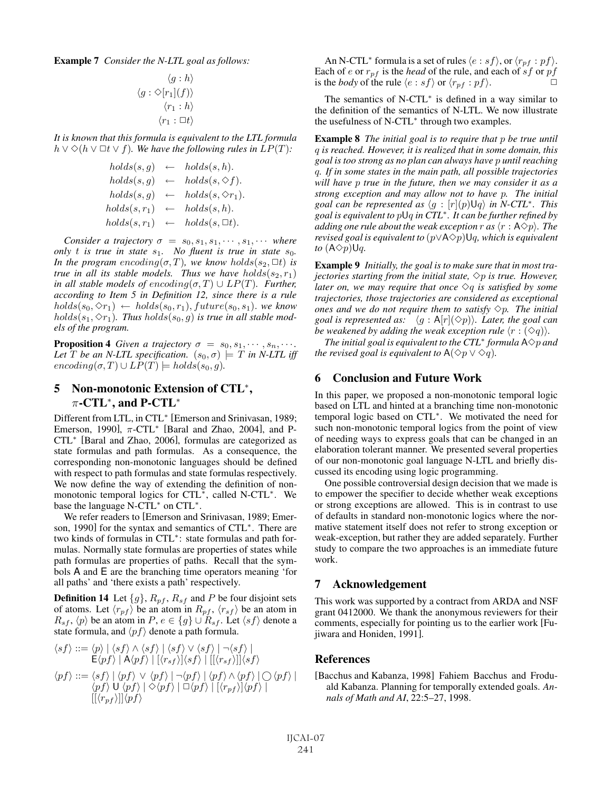Example 7 *Consider the N-LTL goal as follows:*

$$
\langle g : h \rangle
$$
  

$$
\langle g : \diamond [r_1](f) \rangle
$$
  

$$
\langle r_1 : h \rangle
$$
  

$$
\langle r_1 : \Box t \rangle
$$

*It is known that this formula is equivalent to the LTL formula*  $h ∨ ∅(h ∨ ⊡t ∨ f)$ *. We have the following rules in LP*(*T*)*:* 

$$
holds(s, g) \leftarrow holds(s, h).
$$
\n
$$
holds(s, g) \leftarrow holds(s, \diamond f).
$$
\n
$$
holds(s, g) \leftarrow holds(s, \diamond r_1).
$$
\n
$$
holds(s, r_1) \leftarrow holds(s, h).
$$
\n
$$
holds(s, r_1) \leftarrow holds(s, \square t).
$$

*Consider a trajectory*  $\sigma = s_0, s_1, s_1, \cdots, s_1, \cdots$  *where only*  $t$  *is true in state*  $s_1$ *. No fluent is true in state*  $s_0$ *. In the program encoding* $(\sigma, T)$ *, we know holds* $(s_2, \Box t)$  *is true in all its stable models. Thus we have holds* $(s_2, r_1)$ *in all stable models of encoding* $(\sigma, T) \cup LP(T)$ *. Further, according to Item 5 in Definition 12, since there is a rule*  $holds(s_0, \diamond r_1) \leftarrow holds(s_0, r_1), future(s_0, s_1)$ . *we know*  $holds(s_1, \diamondsuit r_1)$ . Thus  $holds(s_0, g)$  is true in all stable mod*els of the program.*

**Proposition 4** *Given a trajectory*  $\sigma = s_0, s_1, \cdots, s_n, \cdots$ . *Let* T *be an N-LTL specification.*  $(s_0, \sigma) \models T$  *in N-LTL iff*  $encoding(\sigma, T) \cup LP(T) \models holds(s_0, g).$ 

# 5 Non-monotonic Extension of CTL<sup>∗</sup>,  $\pi$ -CTL<sup>\*</sup>, and P-CTL<sup>\*</sup>

Different from LTL, in CTL<sup>∗</sup> [Emerson and Srinivasan, 1989; Emerson, 1990],  $\pi$ -CTL<sup>\*</sup> [Baral and Zhao, 2004], and P-CTL<sup>∗</sup> [Baral and Zhao, 2006], formulas are categorized as state formulas and path formulas. As a consequence, the corresponding non-monotonic languages should be defined with respect to path formulas and state formulas respectively. We now define the way of extending the definition of nonmonotonic temporal logics for CTL<sup>∗</sup>, called N-CTL<sup>∗</sup>. We base the language N-CTL<sup>∗</sup> on CTL<sup>∗</sup>.

We refer readers to [Emerson and Srinivasan, 1989; Emerson, 1990] for the syntax and semantics of CTL<sup>∗</sup>. There are two kinds of formulas in CTL<sup>∗</sup>: state formulas and path formulas. Normally state formulas are properties of states while path formulas are properties of paths. Recall that the symbols A and E are the branching time operators meaning 'for all paths' and 'there exists a path' respectively.

**Definition 14** Let  $\{g\}$ ,  $R_{pf}$ ,  $R_{sf}$  and P be four disjoint sets of atoms. Let  $\langle r_{pf} \rangle$  be an atom in  $R_{pf}$ ,  $\langle r_{sf} \rangle$  be an atom in  $R_{sf}$ ,  $\langle p \rangle$  be an atom in  $P, e \in \{g\} \cup R_{sf}$ . Let  $\langle sf \rangle$  denote a state formula, and  $\langle pf \rangle$  denote a path formula.

$$
\langle sf \rangle ::= \langle p \rangle | \langle sf \rangle \wedge \langle sf \rangle | \langle sf \rangle \vee \langle sf \rangle | \neg \langle sf \rangle |
$$
  
\n
$$
E \langle pf \rangle | A \langle pf \rangle | [\langle r_{sf} \rangle] \langle sf \rangle | [[\langle r_{sf} \rangle]] \langle sf \rangle
$$
  
\n
$$
\langle pf \rangle ::= \langle sf \rangle | \langle pf \rangle \vee \langle pf \rangle | \neg \langle pf \rangle | \langle pf \rangle \wedge \langle pf \rangle | \bigcirc \langle pf \rangle |
$$
  
\n
$$
\langle pf \rangle | \langle pf \rangle | \diamond \langle pf \rangle | \square \langle pf \rangle | [\langle r_{pf} \rangle] \langle pf \rangle |
$$
  
\n
$$
[[\langle r_{pf} \rangle]] \langle pf \rangle
$$

An N-CTL<sup>\*</sup> formula is a set of rules  $\langle e : sf \rangle$ , or  $\langle r_{pf} : pf \rangle$ . Each of  $e$  or  $r_{pf}$  is the *head* of the rule, and each of  $sf$  or  $pf$ is the *body* of the rule  $\langle e : sf \rangle$  or  $\langle r_{pf} : pf \rangle$ .

The semantics of N-CTL<sup>∗</sup> is defined in a way similar to the definition of the semantics of N-LTL. We now illustrate the usefulness of N-CTL<sup>∗</sup> through two examples.

Example 8 *The initial goal is to require that* p *be true until* q *is reached. However, it is realized that in some domain, this goal is too strong as no plan can always have* p *until reaching* q*. If in some states in the main path, all possible trajectories will have* p *true in the future, then we may consider it as a strong exception and may allow not to have* p*. The initial*  $g$ oal can be represented as  $\langle g : [r](p) \mathsf{U}q \rangle$  in N-CTL<sup>\*</sup>. This *goal is equivalent to* pUq *in CTL*<sup>∗</sup>*. It can be further refined by* adding one rule about the weak exception  $r$  as  $\langle r: {\sf A}\check{\diamond} p\rangle$ . The *revised goal is equivalent to*  $(p\lor A\diamond p)Uq$ *, which is equivalent to*  $(A \Diamond p) \cup q$ .

Example 9 *Initially, the goal is to make sure that in most trajectories starting from the initial state,*  $\Diamond p$  *is true. However, later on, we may require that once*  $\Diamond q$  *is satisfied by some trajectories, those trajectories are considered as exceptional ones and we do not require them to satisfy*  $\Diamond p$ *. The initial* goal is represented as:  $\hat{p}(g : A[r](\Diamond p))$ . Later, the goal can be weakened by adding the weak exception rule  $\langle r : (\diamond q) \rangle$ .

*The initial goal is equivalent to the CTL<sup>\*</sup> <i>formula*  $A \Diamond p$  *and the revised goal is equivalent to*  $A(\Diamond p \lor \Diamond q)$ *.* 

## 6 Conclusion and Future Work

In this paper, we proposed a non-monotonic temporal logic based on LTL and hinted at a branching time non-monotonic temporal logic based on CTL<sup>∗</sup>. We motivated the need for such non-monotonic temporal logics from the point of view of needing ways to express goals that can be changed in an elaboration tolerant manner. We presented several properties of our non-monotonic goal language N-LTL and briefly discussed its encoding using logic programming.

One possible controversial design decision that we made is to empower the specifier to decide whether weak exceptions or strong exceptions are allowed. This is in contrast to use of defaults in standard non-monotonic logics where the normative statement itself does not refer to strong exception or weak-exception, but rather they are added separately. Further study to compare the two approaches is an immediate future work.

### 7 Acknowledgement

This work was supported by a contract from ARDA and NSF grant 0412000. We thank the anonymous reviewers for their comments, especially for pointing us to the earlier work [Fujiwara and Honiden, 1991].

### References

[Bacchus and Kabanza, 1998] Fahiem Bacchus and Froduald Kabanza. Planning for temporally extended goals. *Annals of Math and AI*, 22:5–27, 1998.